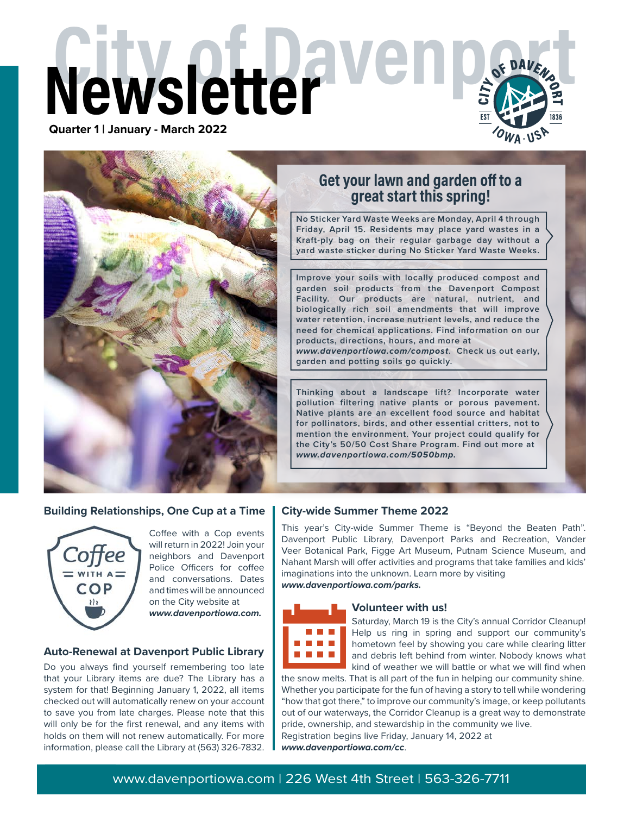# **Newsletter Media 2022 Quarter 1 | January - March 2022**



#### **Building Relationships, One Cup at a Time**



Coffee with a Cop events will return in 2022! Join your neighbors and Davenport Police Officers for coffee and conversations. Dates and times will be announced on the City website at *www.davenportiowa.com.*

#### **Auto-Renewal at Davenport Public Library**

Do you always find yourself remembering too late that your Library items are due? The Library has a system for that! Beginning January 1, 2022, all items checked out will automatically renew on your account to save you from late charges. Please note that this will only be for the first renewal, and any items with holds on them will not renew automatically. For more information, please call the Library at (563) 326-7832.

## **Get your lawn and garden off to a great start this spring!**

**No Sticker Yard Waste Weeks are Monday, April 4 through Friday, April 15. Residents may place yard wastes in a Kraft-ply bag on their regular garbage day without a yard waste sticker during No Sticker Yard Waste Weeks.**

**Improve your soils with locally produced compost and garden soil products from the Davenport Compost Facility. Our products are natural, nutrient, and biologically rich soil amendments that will improve water retention, increase nutrient levels, and reduce the need for chemical applications. Find information on our products, directions, hours, and more at** 

*www.davenportiowa.com/compost***. Check us out early, garden and potting soils go quickly.**

**Thinking about a landscape lift? Incorporate water pollution filtering native plants or porous pavement. Native plants are an excellent food source and habitat for pollinators, birds, and other essential critters, not to mention the environment. Your project could qualify for the City's 50/50 Cost Share Program. Find out more at**  *www.davenportiowa.com/5050bmp.*

#### **City-wide Summer Theme 2022**

This year's City-wide Summer Theme is "Beyond the Beaten Path". Davenport Public Library, Davenport Parks and Recreation, Vander Veer Botanical Park, Figge Art Museum, Putnam Science Museum, and Nahant Marsh will offer activities and programs that take families and kids' imaginations into the unknown. Learn more by visiting *www.davenportiowa.com/parks.*



#### **Volunteer with us!**

Saturday, March 19 is the City's annual Corridor Cleanup! Help us ring in spring and support our community's hometown feel by showing you care while clearing litter and debris left behind from winter. Nobody knows what kind of weather we will battle or what we will find when

the snow melts. That is all part of the fun in helping our community shine. Whether you participate for the fun of having a story to tell while wondering "how that got there," to improve our community's image, or keep pollutants out of our waterways, the Corridor Cleanup is a great way to demonstrate pride, ownership, and stewardship in the community we live. Registration begins live Friday, January 14, 2022 at *www.davenportiowa.com/cc*.

### www.davenportiowa.com | 226 West 4th Street | 563-326-7711